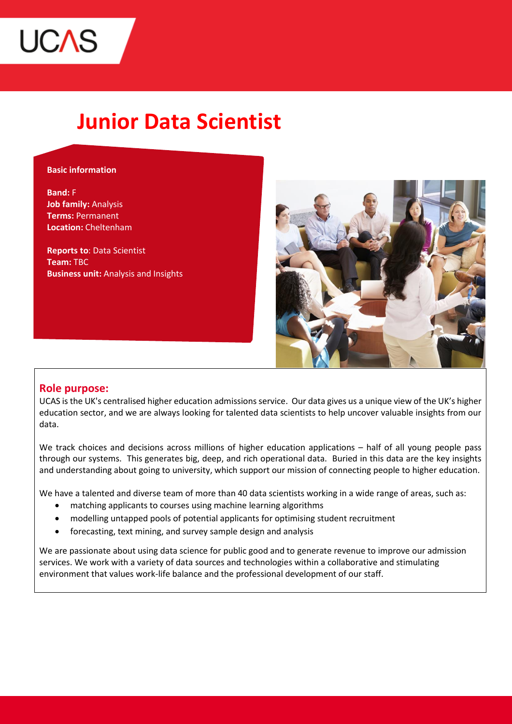

# **Junior Data Scientist**

#### **Basic information**

**Band:** F **Job family:** Analysis **Terms:** Permanent **Location:** Cheltenham

**Reports to**: Data Scientist **Team:** TBC **Business unit:** Analysis and Insights



## **Role purpose:**

UCAS is the UK's centralised higher education admissions service. Our data gives us a unique view of the UK's higher education sector, and we are always looking for talented data scientists to help uncover valuable insights from our data.

We track choices and decisions across millions of higher education applications – half of all young people pass through our systems. This generates big, deep, and rich operational data. Buried in this data are the key insights and understanding about going to university, which support our mission of connecting people to higher education.

We have a talented and diverse team of more than 40 data scientists working in a wide range of areas, such as:

- matching applicants to courses using machine learning algorithms
- modelling untapped pools of potential applicants for optimising student recruitment
- forecasting, text mining, and survey sample design and analysis

We are passionate about using data science for public good and to generate revenue to improve our admission services. We work with a variety of data sources and technologies within a collaborative and stimulating environment that values work-life balance and the professional development of our staff.